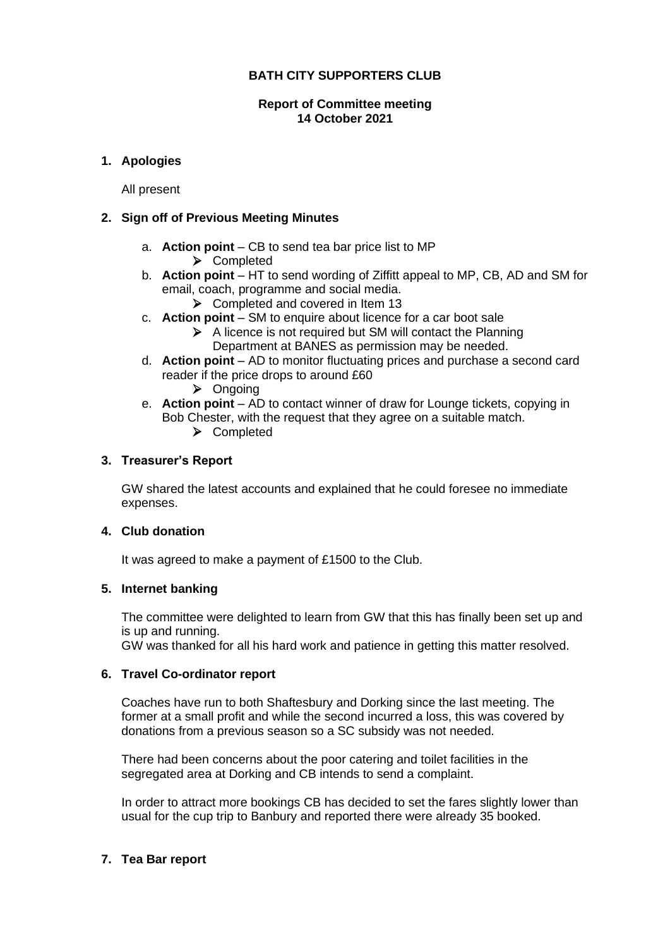# **BATH CITY SUPPORTERS CLUB**

### **Report of Committee meeting 14 October 2021**

# **1. Apologies**

All present

## **2. Sign off of Previous Meeting Minutes**

- a. **Action point** CB to send tea bar price list to MP
	- ➢ Completed
- b. **Action point** HT to send wording of Ziffitt appeal to MP, CB, AD and SM for email, coach, programme and social media.
	- ➢ Completed and covered in Item 13
- c. **Action point** SM to enquire about licence for a car boot sale
	- ➢ A licence is not required but SM will contact the Planning Department at BANES as permission may be needed.
- d. **Action point** AD to monitor fluctuating prices and purchase a second card reader if the price drops to around £60
	- ➢ Ongoing
- e. **Action point** AD to contact winner of draw for Lounge tickets, copying in Bob Chester, with the request that they agree on a suitable match.
	- ➢ Completed

# **3. Treasurer's Report**

GW shared the latest accounts and explained that he could foresee no immediate expenses.

## **4. Club donation**

It was agreed to make a payment of £1500 to the Club.

## **5. Internet banking**

The committee were delighted to learn from GW that this has finally been set up and is up and running.

GW was thanked for all his hard work and patience in getting this matter resolved.

## **6. Travel Co-ordinator report**

Coaches have run to both Shaftesbury and Dorking since the last meeting. The former at a small profit and while the second incurred a loss, this was covered by donations from a previous season so a SC subsidy was not needed.

There had been concerns about the poor catering and toilet facilities in the segregated area at Dorking and CB intends to send a complaint.

In order to attract more bookings CB has decided to set the fares slightly lower than usual for the cup trip to Banbury and reported there were already 35 booked.

## **7. Tea Bar report**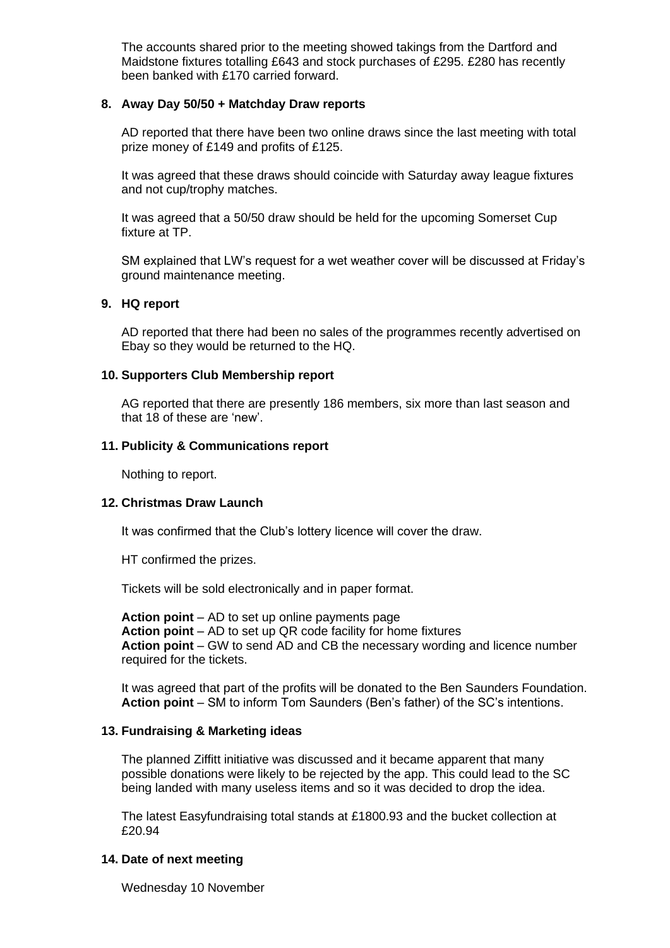The accounts shared prior to the meeting showed takings from the Dartford and Maidstone fixtures totalling £643 and stock purchases of £295. £280 has recently been banked with £170 carried forward.

### **8. Away Day 50/50 + Matchday Draw reports**

AD reported that there have been two online draws since the last meeting with total prize money of £149 and profits of £125.

It was agreed that these draws should coincide with Saturday away league fixtures and not cup/trophy matches.

It was agreed that a 50/50 draw should be held for the upcoming Somerset Cup fixture at TP.

SM explained that LW's request for a wet weather cover will be discussed at Friday's ground maintenance meeting.

### **9. HQ report**

AD reported that there had been no sales of the programmes recently advertised on Ebay so they would be returned to the HQ.

#### **10. Supporters Club Membership report**

AG reported that there are presently 186 members, six more than last season and that 18 of these are 'new'.

### **11. Publicity & Communications report**

Nothing to report.

#### **12. Christmas Draw Launch**

It was confirmed that the Club's lottery licence will cover the draw.

HT confirmed the prizes.

Tickets will be sold electronically and in paper format.

**Action point** – AD to set up online payments page **Action point** – AD to set up QR code facility for home fixtures **Action point** – GW to send AD and CB the necessary wording and licence number required for the tickets.

It was agreed that part of the profits will be donated to the Ben Saunders Foundation. **Action point** – SM to inform Tom Saunders (Ben's father) of the SC's intentions.

## **13. Fundraising & Marketing ideas**

The planned Ziffitt initiative was discussed and it became apparent that many possible donations were likely to be rejected by the app. This could lead to the SC being landed with many useless items and so it was decided to drop the idea.

The latest Easyfundraising total stands at £1800.93 and the bucket collection at £20.94

## **14. Date of next meeting**

Wednesday 10 November